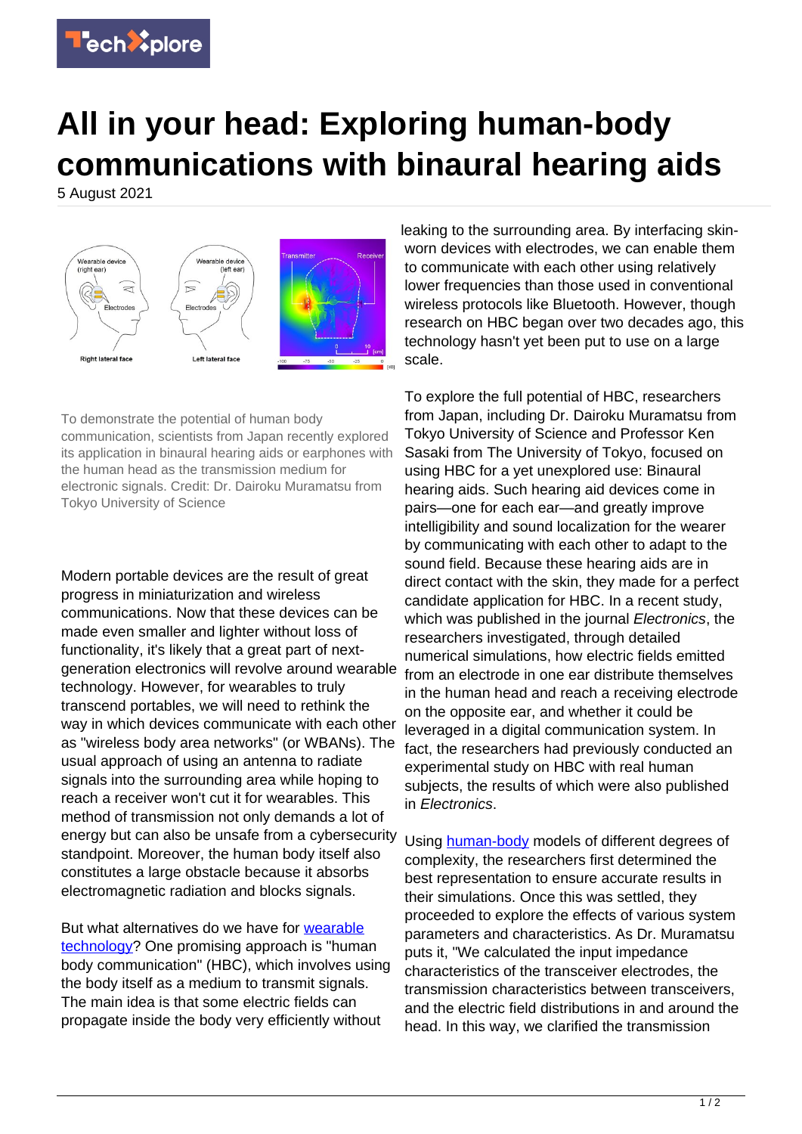

## **All in your head: Exploring human-body communications with binaural hearing aids**

5 August 2021



To demonstrate the potential of human body communication, scientists from Japan recently explored its application in binaural hearing aids or earphones with the human head as the transmission medium for electronic signals. Credit: Dr. Dairoku Muramatsu from Tokyo University of Science

Modern portable devices are the result of great progress in miniaturization and wireless communications. Now that these devices can be made even smaller and lighter without loss of functionality, it's likely that a great part of nextgeneration electronics will revolve around wearable technology. However, for wearables to truly transcend portables, we will need to rethink the way in which devices communicate with each other as "wireless body area networks" (or WBANs). The usual approach of using an antenna to radiate signals into the surrounding area while hoping to reach a receiver won't cut it for wearables. This method of transmission not only demands a lot of energy but can also be unsafe from a cybersecurity standpoint. Moreover, the human body itself also constitutes a large obstacle because it absorbs electromagnetic radiation and blocks signals.

But what alternatives do we have for [wearable](https://techxplore.com/tags/wearable+technology/) [technology?](https://techxplore.com/tags/wearable+technology/) One promising approach is "human body communication" (HBC), which involves using the body itself as a medium to transmit signals. The main idea is that some electric fields can propagate inside the body very efficiently without

leaking to the surrounding area. By interfacing skinworn devices with electrodes, we can enable them to communicate with each other using relatively lower frequencies than those used in conventional wireless protocols like Bluetooth. However, though research on HBC began over two decades ago, this technology hasn't yet been put to use on a large scale.

To explore the full potential of HBC, researchers from Japan, including Dr. Dairoku Muramatsu from Tokyo University of Science and Professor Ken Sasaki from The University of Tokyo, focused on using HBC for a yet unexplored use: Binaural hearing aids. Such hearing aid devices come in pairs—one for each ear—and greatly improve intelligibility and sound localization for the wearer by communicating with each other to adapt to the sound field. Because these hearing aids are in direct contact with the skin, they made for a perfect candidate application for HBC. In a recent study, which was published in the journal *Electronics*, the researchers investigated, through detailed numerical simulations, how electric fields emitted from an electrode in one ear distribute themselves in the human head and reach a receiving electrode on the opposite ear, and whether it could be leveraged in a digital communication system. In fact, the researchers had previously conducted an experimental study on HBC with real human subjects, the results of which were also published in Electronics.

Using [human-body](https://techxplore.com/tags/human+body/) models of different degrees of complexity, the researchers first determined the best representation to ensure accurate results in their simulations. Once this was settled, they proceeded to explore the effects of various system parameters and characteristics. As Dr. Muramatsu puts it, "We calculated the input impedance characteristics of the transceiver electrodes, the transmission characteristics between transceivers, and the electric field distributions in and around the head. In this way, we clarified the transmission